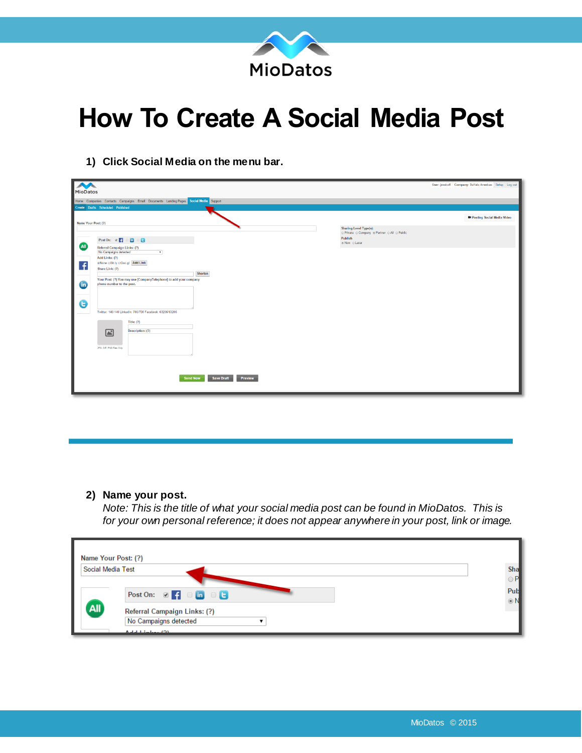

## **How To Create A Social Media Post**

- MioDatos User: jessbuff Company: Buffalo Americas Setup Log **D** Posting Social Media Vide Name Your Post: (?) Sharing Level Type(s):<br>© Private © Company ® Partner © All © Public Post On:  $\otimes$   $\begin{bmatrix} 1 & 0 & 0 \\ 0 & 0 & 0 \end{bmatrix}$ Publish<br>⊛ Now ⊙ Later **All** Referral Campaign Links: (?)<br>|No Campaigns detected<br>|Add Links: (?)<br>|s|None ©Bit.ly ©Goo.gl ||Add Link  $\overline{f}$ Share Link: (?) our Post: (?) You may use [CompanyTelephone] to add you<br>hone number to the post.  $\bullet$  $\mathbf \Theta$ 700/700 Fac ter: 140/140 Lin ook: 63206/63206 Title:  $(?)$ Description: (?)  $\Box$ Send Now Save Draft Preview
- **1) Click Social Media on the menu bar.**

## **2) Name your post.**

*Note: This is the title of what your social media post can be found in MioDatos. This is for your own personal reference; it does not appear anywhere in your post, link or image.* 

| Name Your Post: (?) |                                                                                 |                                  |
|---------------------|---------------------------------------------------------------------------------|----------------------------------|
| Social Media Test   |                                                                                 | Sha                              |
|                     | Post On: $\boxtimes$ $\uparrow$ $\Box$ $\Box$ $\Box$ $\Box$ $\Box$              | $\bigcirc$ P<br>Pub<br>$\odot$ N |
| All                 | Referral Campaign Links: (?)<br>No Campaigns detected<br>And at the local track |                                  |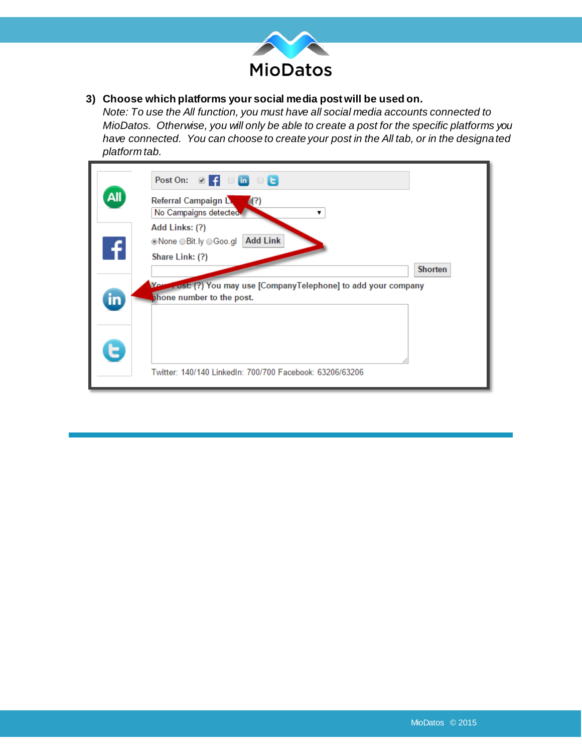

## **3) Choose which platforms your social media post will be used on.**

*Note: To use the All function, you must have all social media accounts connected to MioDatos. Otherwise, you will only be able to create a post for the specific platforms you have connected. You can choose to create your post in the All tab, or in the designated platform tab.* 

|           | Post On: $\Box$ $\Box$ $\Box$ $\Box$ $\Box$ $\Box$                                                      |                |
|-----------|---------------------------------------------------------------------------------------------------------|----------------|
| All       | Referral Campaign L<br>(?)<br>No Campaigns detected.                                                    |                |
|           | Add Links: (?)<br><b>Add Link</b><br>©None ⊙Bit.ly ⊖Goo.gl                                              |                |
| -6        | Share Link: (?)                                                                                         | <b>Shorten</b> |
| <u>in</u> | <b>You</b><br>Fost: (?) You may use [CompanyTelephone] to add your company<br>phone number to the post. |                |
|           |                                                                                                         |                |
| E         |                                                                                                         |                |
|           | Twitter: 140/140 LinkedIn: 700/700 Facebook: 63206/63206                                                |                |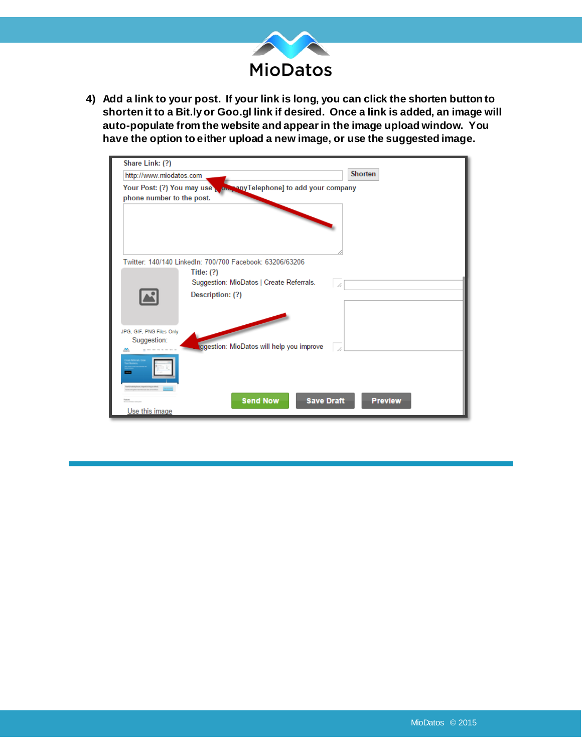

**4) Add a link to your post. If your link is long, you can click the shorten button to shorten it to a Bit.ly or Goo.gl link if desired. Once a link is added, an image will auto-populate from the website and appear in the image upload window. You have the option to either upload a new image, or use the suggested image.** 

| Share Link: (?)           |                                                                     |
|---------------------------|---------------------------------------------------------------------|
| http://www.miodatos.com   | <b>Shorten</b>                                                      |
|                           | Your Post: (?) You may use where any Telephone] to add your company |
| phone number to the post. |                                                                     |
|                           |                                                                     |
|                           |                                                                     |
|                           |                                                                     |
|                           | Twitter: 140/140 LinkedIn: 700/700 Facebook: 63206/63206            |
|                           | Title: $(?)$                                                        |
|                           | Suggestion: MioDatos   Create Referrals.<br>1,                      |
|                           | Description: (?)                                                    |
|                           |                                                                     |
|                           |                                                                     |
| JPG, GIF, PNG Files Only  |                                                                     |
| Suggestion:               | ggestion: MioDatos will help you improve                            |
| ute Referrals, Crow       |                                                                     |
|                           |                                                                     |
|                           |                                                                     |
|                           |                                                                     |
|                           | <b>Send Now</b><br><b>Save Draft</b><br><b>Preview</b>              |
| Use this image            |                                                                     |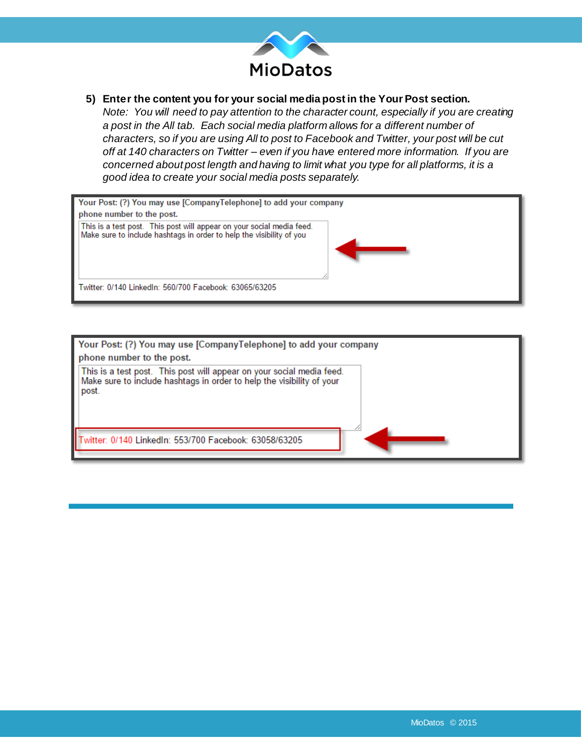

## **5) Enter the content you for your social media post in the Your Post section.**

*Note: You will need to pay attention to the character count, especially if you are creating a post in the All tab. Each social media platform allows for a different number of characters, so if you are using All to post to Facebook and Twitter, your post will be cut off at 140 characters on Twitter – even if you have entered more information. If you are concerned about post length and having to limit what you type for all platforms, it is a good idea to create your social media posts separately.*



| Your Post: (?) You may use [CompanyTelephone] to add your company<br>phone number to the post.                                                          |  |  |  |  |  |  |  |
|---------------------------------------------------------------------------------------------------------------------------------------------------------|--|--|--|--|--|--|--|
| This is a test post. This post will appear on your social media feed.<br>Make sure to include hashtags in order to help the visibility of your<br>post. |  |  |  |  |  |  |  |
| Witter: 0/140 LinkedIn: 553/700 Facebook: 63058/63205                                                                                                   |  |  |  |  |  |  |  |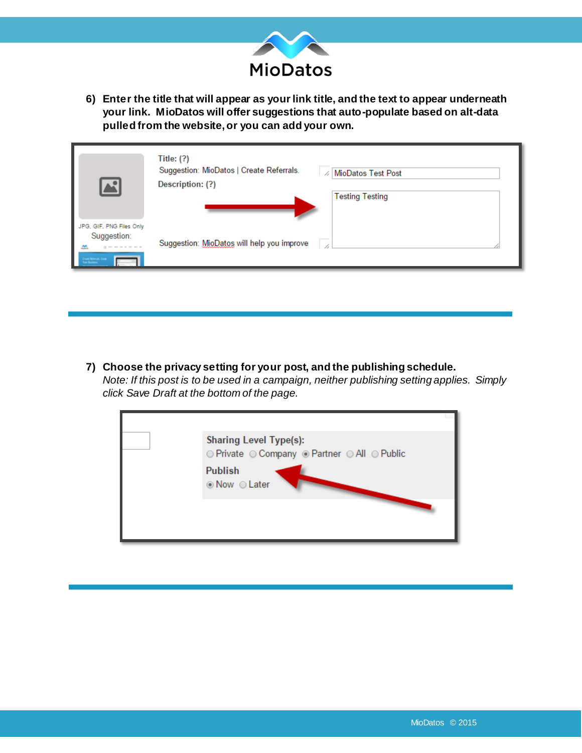

**6) Enter the title that will appear as your link title, and the text to appear underneath your link. MioDatos will offer suggestions that auto-populate based on alt-data pulled from the website, or you can add your own.** 

| <u>a.</u>                                                                                    | Title: $(?)$<br>Suggestion: MioDatos   Create Referrals.<br><b>MioDatos Test Post</b><br>Description: (?)<br><b>Testing Testing</b> |
|----------------------------------------------------------------------------------------------|-------------------------------------------------------------------------------------------------------------------------------------|
| JPG, GIF, PNG Files Only<br>Suggestion:<br>æ<br><b>Jean Arlenak, Crow</b><br><b>Basiness</b> | Suggestion: MioDatos will help you improve                                                                                          |

**7) Choose the privacy setting for your post, and the publishing schedule.**  *Note: If this post is to be used in a campaign, neither publishing setting applies. Simply click Save Draft at the bottom of the page.*

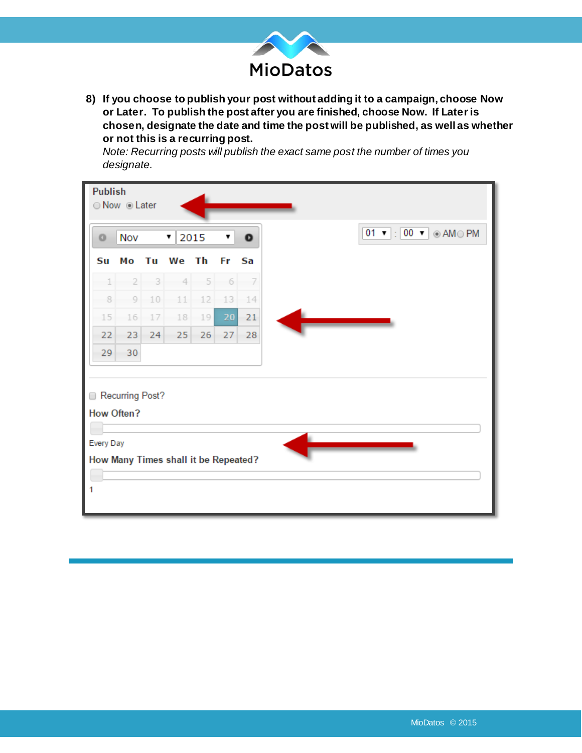

**8) If you choose to publish your post without adding it to a campaign, choose Now or Later. To publish the post after you are finished, choose Now. If Later is chosen, designate the date and time the post will be published, as well as whether or not this is a recurring post.** 

*Note: Recurring posts will publish the exact same post the number of times you designate.*

| <b>Publish</b><br>⊙ Now ⊙ Later      |                |                   |    |                                 |    |     |           |  |
|--------------------------------------|----------------|-------------------|----|---------------------------------|----|-----|-----------|--|
|                                      | Nov<br>$\circ$ |                   |    | 2015<br>$\pmb{\mathrm{v}}$<br>▼ |    |     | $\bullet$ |  |
|                                      | Su             | Mо                | Tu | We Th                           |    | Fr. | Sa        |  |
|                                      | $\perp$        | $\overline{2}$    | 3  | 4                               | 5  | 6   | $-7$      |  |
|                                      | 8              | 9                 | 10 | 11                              | 12 | 13  | 14        |  |
|                                      | 15             | 16                | 17 | 18                              | 19 | 20  | 21        |  |
|                                      | 22             | 23                | 24 | 25                              | 26 | 27  | 28        |  |
|                                      | 29             | 30                |    |                                 |    |     |           |  |
|                                      |                | Recurring Post?   |    |                                 |    |     |           |  |
|                                      |                | <b>How Often?</b> |    |                                 |    |     |           |  |
| Every Day                            |                |                   |    |                                 |    |     |           |  |
| How Many Times shall it be Repeated? |                |                   |    |                                 |    |     |           |  |
|                                      |                |                   |    |                                 |    |     |           |  |
| 1                                    |                |                   |    |                                 |    |     |           |  |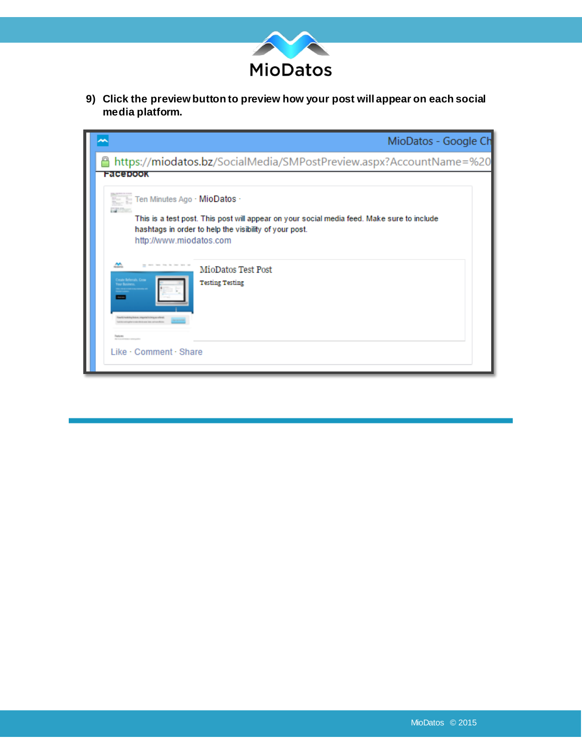

**9) Click the preview button to preview how your post will appear on each social media platform.**